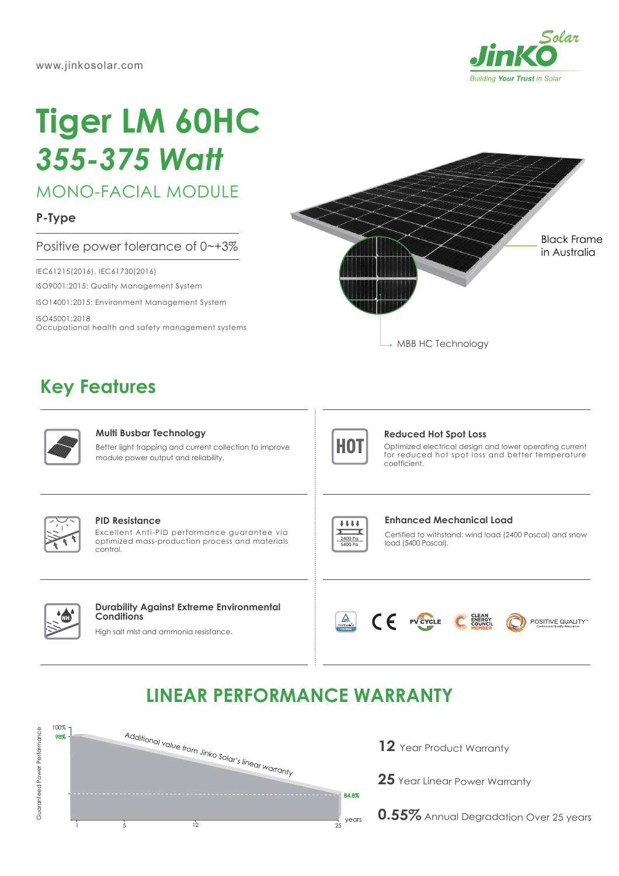

# **Tiger LM 60HC** *355-375 Watt*

MONO-FACIAL MODULE

**P-Type**

### Positive power tolerance of 0~+3%

IEC61215(2016), IEC61730(2016)

ISO9001:2015: Quality Management System

ISO14001:2015: Environment Management System

ISO45001:2018 Occupational health and safety management systems



## **Key Features**



#### **Multi Busbar Technology**

Better light trapping and current collection to improve module power output and reliability.



#### **Reduced Hot Spot Loss**

Optimized electrical design and lower operating current for reduced hot spot loss and better temperature coefficient.



#### **PID Resistance**

Excellent Anti-PID performance guarantee via optimized mass-production process and materials control.



#### **Enhanced Mechanical Load**

Certified to withstand: wind load (2400 Pascal) and snow load (5400 Pascal).



#### **Durability Against Extreme Environmental Conditions**

High salt mist and ammonia resistance.





POSITIVE QUALITY"

## **LINEAR PERFORMANCE WARRANTY**



- **12** Year Product Warranty
- **25** Year Linear Power Warranty

**0.55%** Annual Degradation Over 25 years